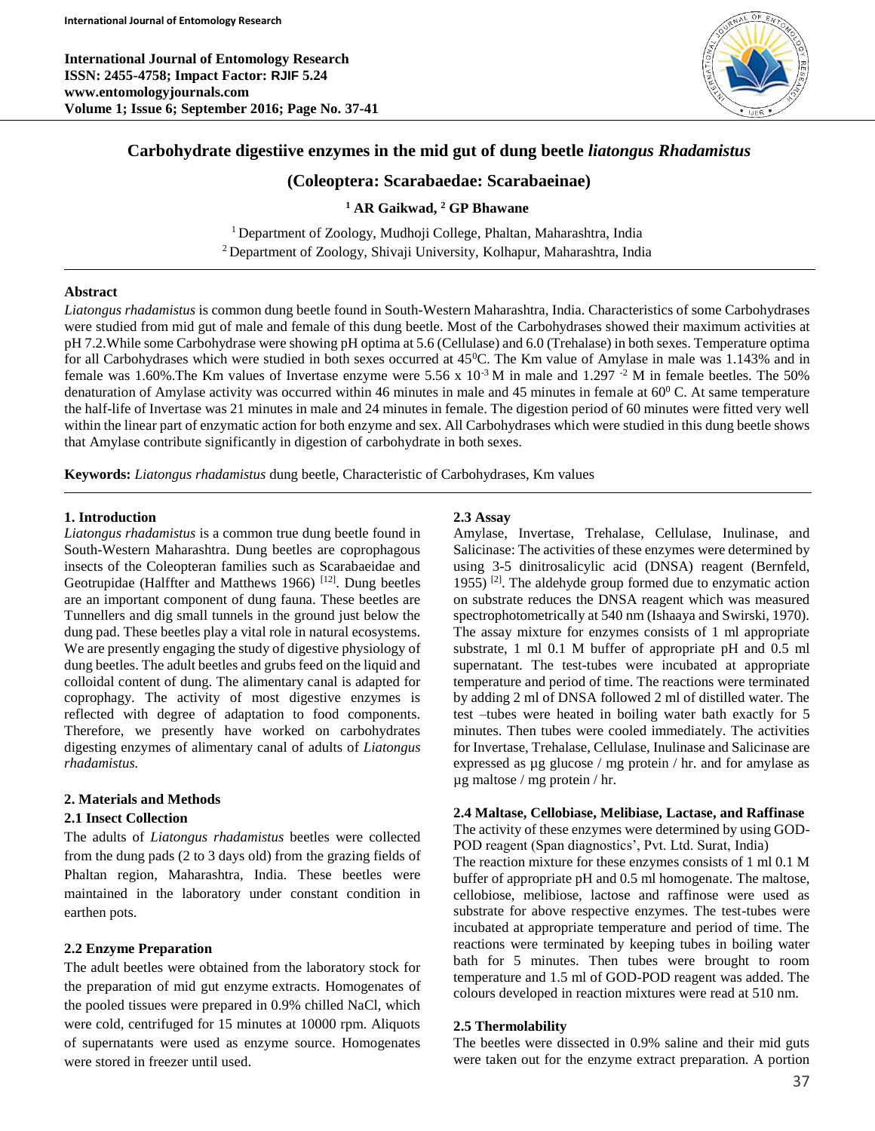**International Journal of Entomology Research ISSN: 2455-4758; Impact Factor: RJIF 5.24 www.entomologyjournals.com Volume 1; Issue 6; September 2016; Page No. 37-41**



# **Carbohydrate digestiive enzymes in the mid gut of dung beetle** *liatongus Rhadamistus*

# **(Coleoptera: Scarabaedae: Scarabaeinae)**

## **<sup>1</sup> AR Gaikwad, <sup>2</sup> GP Bhawane**

<sup>1</sup> Department of Zoology, Mudhoji College, Phaltan, Maharashtra, India <sup>2</sup> Department of Zoology, Shivaji University, Kolhapur, Maharashtra, India

# **Abstract**

*Liatongus rhadamistus* is common dung beetle found in South-Western Maharashtra, India. Characteristics of some Carbohydrases were studied from mid gut of male and female of this dung beetle. Most of the Carbohydrases showed their maximum activities at pH 7.2.While some Carbohydrase were showing pH optima at 5.6 (Cellulase) and 6.0 (Trehalase) in both sexes. Temperature optima for all Carbohydrases which were studied in both sexes occurred at  $45^{\circ}$ C. The Km value of Amylase in male was 1.143% and in female was 1.60%. The Km values of Invertase enzyme were 5.56 x  $10^{-3}$  M in male and 1.297  $^{-2}$  M in female beetles. The 50% denaturation of Amylase activity was occurred within 46 minutes in male and 45 minutes in female at  $60^{\circ}$  C. At same temperature the half-life of Invertase was 21 minutes in male and 24 minutes in female. The digestion period of 60 minutes were fitted very well within the linear part of enzymatic action for both enzyme and sex. All Carbohydrases which were studied in this dung beetle shows that Amylase contribute significantly in digestion of carbohydrate in both sexes.

**Keywords:** *Liatongus rhadamistus* dung beetle, Characteristic of Carbohydrases, Km values

# **1. Introduction**

*Liatongus rhadamistus* is a common true dung beetle found in South-Western Maharashtra. Dung beetles are coprophagous insects of the Coleopteran families such as Scarabaeidae and Geotrupidae (Halffter and Matthews 1966)<sup>[12]</sup>. Dung beetles are an important component of dung fauna. These beetles are Tunnellers and dig small tunnels in the ground just below the dung pad. These beetles play a vital role in natural ecosystems. We are presently engaging the study of digestive physiology of dung beetles. The adult beetles and grubs feed on the liquid and colloidal content of dung. The alimentary canal is adapted for coprophagy. The activity of most digestive enzymes is reflected with degree of adaptation to food components. Therefore, we presently have worked on carbohydrates digesting enzymes of alimentary canal of adults of *Liatongus rhadamistus.*

## **2. Materials and Methods**

## **2.1 Insect Collection**

The adults of *Liatongus rhadamistus* beetles were collected from the dung pads (2 to 3 days old) from the grazing fields of Phaltan region, Maharashtra, India. These beetles were maintained in the laboratory under constant condition in earthen pots.

## **2.2 Enzyme Preparation**

The adult beetles were obtained from the laboratory stock for the preparation of mid gut enzyme extracts. Homogenates of the pooled tissues were prepared in 0.9% chilled NaCl, which were cold, centrifuged for 15 minutes at 10000 rpm. Aliquots of supernatants were used as enzyme source. Homogenates were stored in freezer until used.

## **2.3 Assay**

Amylase, Invertase, Trehalase, Cellulase, Inulinase, and Salicinase: The activities of these enzymes were determined by using 3-5 dinitrosalicylic acid (DNSA) reagent (Bernfeld, 1955) <sup>[2]</sup>. The aldehyde group formed due to enzymatic action on substrate reduces the DNSA reagent which was measured spectrophotometrically at 540 nm (Ishaaya and Swirski, 1970). The assay mixture for enzymes consists of 1 ml appropriate substrate, 1 ml 0.1 M buffer of appropriate pH and 0.5 ml supernatant. The test-tubes were incubated at appropriate temperature and period of time. The reactions were terminated by adding 2 ml of DNSA followed 2 ml of distilled water. The test –tubes were heated in boiling water bath exactly for 5 minutes. Then tubes were cooled immediately. The activities for Invertase, Trehalase, Cellulase, Inulinase and Salicinase are expressed as µg glucose / mg protein / hr. and for amylase as µg maltose / mg protein / hr.

### **2.4 Maltase, Cellobiase, Melibiase, Lactase, and Raffinase**

The activity of these enzymes were determined by using GOD-POD reagent (Span diagnostics', Pvt. Ltd. Surat, India)

The reaction mixture for these enzymes consists of 1 ml 0.1 M buffer of appropriate pH and 0.5 ml homogenate. The maltose, cellobiose, melibiose, lactose and raffinose were used as substrate for above respective enzymes. The test-tubes were incubated at appropriate temperature and period of time. The reactions were terminated by keeping tubes in boiling water bath for 5 minutes. Then tubes were brought to room temperature and 1.5 ml of GOD-POD reagent was added. The colours developed in reaction mixtures were read at 510 nm.

### **2.5 Thermolability**

The beetles were dissected in 0.9% saline and their mid guts were taken out for the enzyme extract preparation. A portion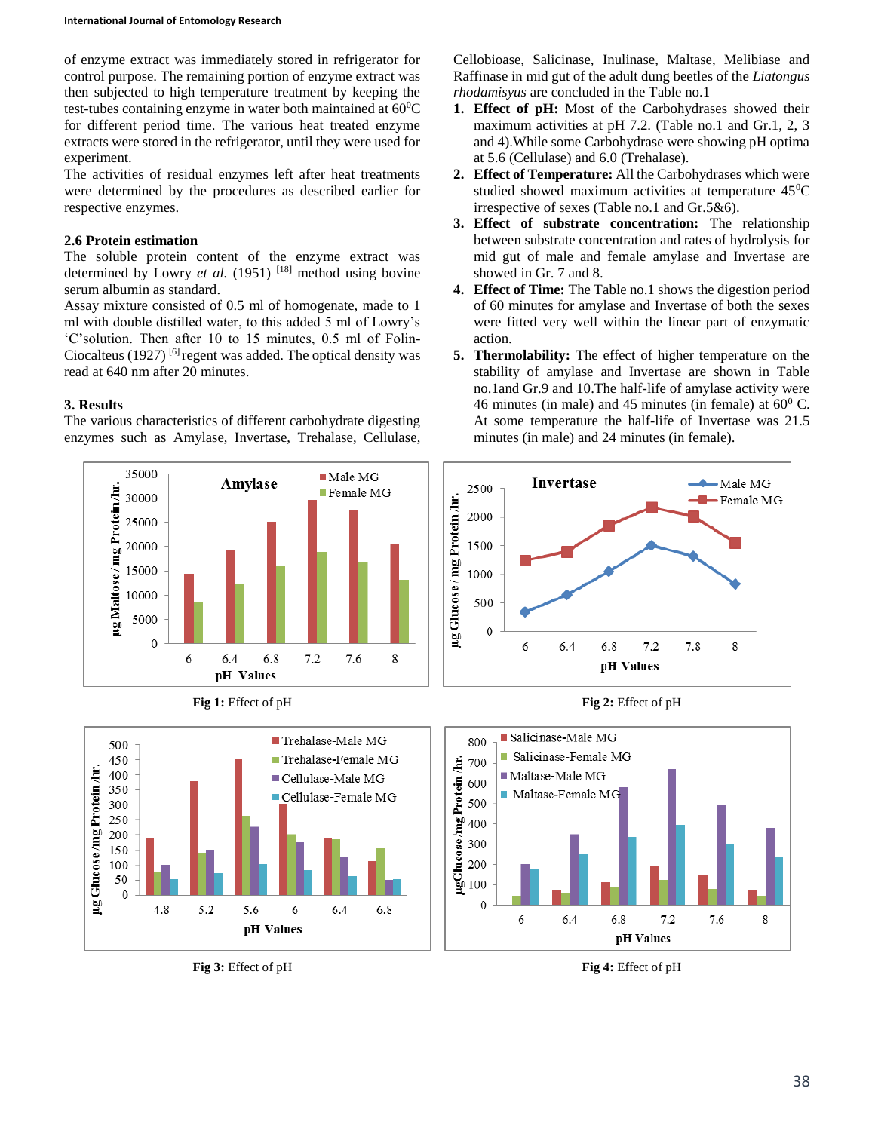#### **International Journal of Entomology Research**

of enzyme extract was immediately stored in refrigerator for control purpose. The remaining portion of enzyme extract was then subjected to high temperature treatment by keeping the test-tubes containing enzyme in water both maintained at  $60^{\circ}$ C for different period time. The various heat treated enzyme extracts were stored in the refrigerator, until they were used for experiment.

The activities of residual enzymes left after heat treatments were determined by the procedures as described earlier for respective enzymes.

## **2.6 Protein estimation**

The soluble protein content of the enzyme extract was determined by Lowry *et al.* (1951)<sup>[18]</sup> method using bovine serum albumin as standard.

Assay mixture consisted of 0.5 ml of homogenate, made to 1 ml with double distilled water, to this added 5 ml of Lowry's 'C'solution. Then after 10 to 15 minutes, 0.5 ml of Folin-Ciocalteus (1927)<sup>[6]</sup> regent was added. The optical density was read at 640 nm after 20 minutes.

# **3. Results**

The various characteristics of different carbohydrate digesting enzymes such as Amylase, Invertase, Trehalase, Cellulase,





Cellobioase, Salicinase, Inulinase, Maltase, Melibiase and Raffinase in mid gut of the adult dung beetles of the *Liatongus rhodamisyus* are concluded in the Table no.1

- **1. Effect of pH:** Most of the Carbohydrases showed their maximum activities at pH 7.2. (Table no.1 and Gr.1, 2, 3 and 4).While some Carbohydrase were showing pH optima at 5.6 (Cellulase) and 6.0 (Trehalase).
- **2. Effect of Temperature:** All the Carbohydrases which were studied showed maximum activities at temperature 45<sup>0</sup>C irrespective of sexes (Table no.1 and Gr.5&6).
- **3. Effect of substrate concentration:** The relationship between substrate concentration and rates of hydrolysis for mid gut of male and female amylase and Invertase are showed in Gr. 7 and 8.
- **4. Effect of Time:** The Table no.1 shows the digestion period of 60 minutes for amylase and Invertase of both the sexes were fitted very well within the linear part of enzymatic action.
- **5. Thermolability:** The effect of higher temperature on the stability of amylase and Invertase are shown in Table no.1and Gr.9 and 10.The half-life of amylase activity were 46 minutes (in male) and 45 minutes (in female) at  $60^{\circ}$  C. At some temperature the half-life of Invertase was 21.5 minutes (in male) and 24 minutes (in female).







**Fig 3:** Effect of pH **Fig 4:** Effect of pH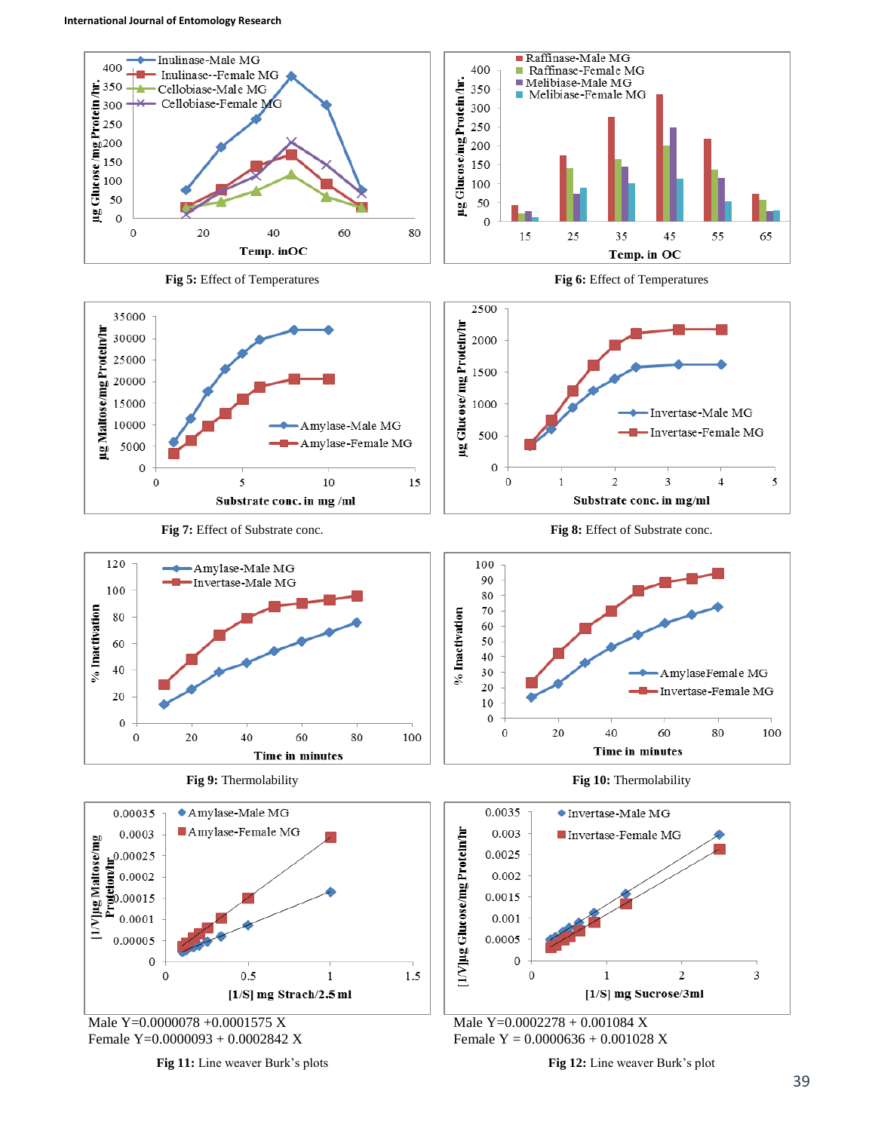



 $\,1\,$ 

1.5

**Fig 11:** Line weaver Burk's plots

 $0.5$ 

 $\mathbf 0$ 

 $\mathbf 0$ 

**Fig 12:** Line weaver Burk's plot

 $\,1$ 

 $\overline{\mathbf{c}}$ 

[1/S] mg Sucrose/3ml

Male Y=0.0002278 + 0.001084 X Female Y = 0.0000636 + 0.001028 X

 $\boldsymbol{0}$ 

 $\boldsymbol{0}$ 

3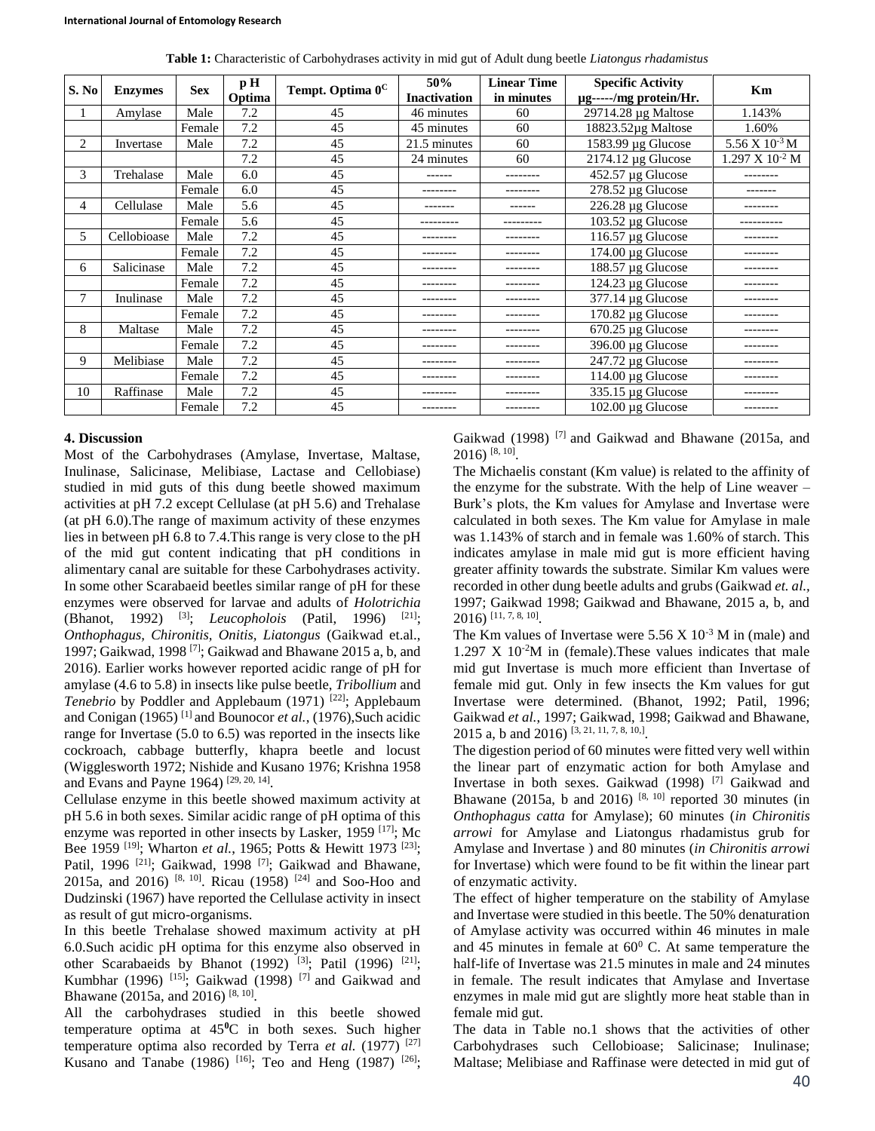|  |  |  |  |  | Table 1: Characteristic of Carbohydrases activity in mid gut of Adult dung beetle Liatongus rhadamistus |  |  |  |  |  |  |  |
|--|--|--|--|--|---------------------------------------------------------------------------------------------------------|--|--|--|--|--|--|--|
|--|--|--|--|--|---------------------------------------------------------------------------------------------------------|--|--|--|--|--|--|--|

| S. No | <b>Enzymes</b> | <b>Sex</b> | p H<br>Optima | Tempt. Optima 0 <sup>C</sup> | 50%<br><b>Inactivation</b> | <b>Linear Time</b><br>in minutes | <b>Specific Activity</b><br>µg-----/mg protein/Hr. | Km                                  |
|-------|----------------|------------|---------------|------------------------------|----------------------------|----------------------------------|----------------------------------------------------|-------------------------------------|
|       | Amylase        | Male       | 7.2           | 45                           | 46 minutes                 | 60                               | $29714.28 \mu g$ Maltose                           | 1.143%                              |
|       |                | Female     | 7.2           | 45                           | 45 minutes                 | 60                               | $18823.52\mu$ g Maltose                            | 1.60%                               |
| 2     | Invertase      | Male       | 7.2           | 45                           | 21.5 minutes               | 60                               | $1583.99 \mu$ g Glucose                            | $5.56 \text{ X } 10^{-3} \text{ M}$ |
|       |                |            | 7.2           | 45                           | 24 minutes                 | 60                               | $2174.12 \mu$ g Glucose                            | $1.297 \times 10^{-2}$ M            |
| 3     | Trehalase      | Male       | 6.0           | 45                           | ------                     | --------                         | $452.57 \mu g$ Glucose                             | --------                            |
|       |                | Female     | 6.0           | 45                           |                            |                                  | $278.52 \mu g$ Glucose                             |                                     |
| 4     | Cellulase      | Male       | 5.6           | 45                           |                            | ------                           | 226.28 µg Glucose                                  |                                     |
|       |                | Female     | 5.6           | 45                           |                            |                                  | $103.52 \mu$ g Glucose                             |                                     |
| 5     | Cellobioase    | Male       | 7.2           | 45                           |                            |                                  | 116.57 µg Glucose                                  |                                     |
|       |                | Female     | 7.2           | 45                           |                            |                                  | 174.00 µg Glucose                                  |                                     |
| 6     | Salicinase     | Male       | 7.2           | 45                           | --------                   |                                  | 188.57 µg Glucose                                  | --------                            |
|       |                | Female     | 7.2           | 45                           |                            |                                  | 124.23 µg Glucose                                  |                                     |
|       | Inulinase      | Male       | 7.2           | 45                           | --------                   | --------                         | 377.14 µg Glucose                                  |                                     |
|       |                | Female     | 7.2           | 45                           |                            |                                  | 170.82 µg Glucose                                  |                                     |
| 8     | Maltase        | Male       | 7.2           | 45                           | --------                   |                                  | 670.25 µg Glucose                                  | --------                            |
|       |                | Female     | 7.2           | 45                           |                            |                                  | 396.00 µg Glucose                                  |                                     |
| 9     | Melibiase      | Male       | 7.2           | 45                           |                            |                                  | $247.72 \mu$ g Glucose                             |                                     |
|       |                | Female     | 7.2           | 45                           |                            |                                  | 114.00 µg Glucose                                  | --------                            |
| 10    | Raffinase      | Male       | 7.2           | 45                           |                            |                                  | $335.15 \mu$ g Glucose                             |                                     |
|       |                | Female     | 7.2           | 45                           | --------                   | --------                         | 102.00 µg Glucose                                  |                                     |

## **4. Discussion**

Most of the Carbohydrases (Amylase, Invertase, Maltase, Inulinase, Salicinase, Melibiase, Lactase and Cellobiase) studied in mid guts of this dung beetle showed maximum activities at pH 7.2 except Cellulase (at pH 5.6) and Trehalase (at pH 6.0).The range of maximum activity of these enzymes lies in between pH 6.8 to 7.4.This range is very close to the pH of the mid gut content indicating that pH conditions in alimentary canal are suitable for these Carbohydrases activity. In some other Scarabaeid beetles similar range of pH for these enzymes were observed for larvae and adults of *Holotrichia* (Bhanot, 1992) <sup>[3]</sup>; *Leucopholois* (Patil, 1996) <sup>[21]</sup>; *Onthophagus, Chironitis, Onitis, Liatongus* (Gaikwad et.al., 1997; Gaikwad, 1998 [7] ; Gaikwad and Bhawane 2015 a, b, and 2016). Earlier works however reported acidic range of pH for amylase (4.6 to 5.8) in insects like pulse beetle, *Tribollium* and Tenebrio by Poddler and Applebaum (1971)<sup>[22]</sup>; Applebaum and Conigan (1965) [1] and Bounocor *et al.*, (1976),Such acidic range for Invertase (5.0 to 6.5) was reported in the insects like cockroach, cabbage butterfly, khapra beetle and locust (Wigglesworth 1972; Nishide and Kusano 1976; Krishna 1958 and Evans and Payne 1964)  $[29, 20, 14]$ .

Cellulase enzyme in this beetle showed maximum activity at pH 5.6 in both sexes. Similar acidic range of pH optima of this enzyme was reported in other insects by Lasker, 1959<sup>[17]</sup>; Mc Bee 1959 <sup>[19]</sup>; Wharton *et al.*, 1965; Potts & Hewitt 1973 <sup>[23]</sup>; Patil, 1996<sup>[21]</sup>; Gaikwad, 1998<sup>[7]</sup>; Gaikwad and Bhawane, 2015a, and 2016) <sup>[8, 10]</sup>. Ricau (1958) <sup>[24]</sup> and Soo-Hoo and Dudzinski (1967) have reported the Cellulase activity in insect as result of gut micro-organisms.

In this beetle Trehalase showed maximum activity at pH 6.0.Such acidic pH optima for this enzyme also observed in other Scarabaeids by Bhanot (1992)<sup>[3]</sup>; Patil (1996)<sup>[21]</sup>; Kumbhar (1996)<sup>[15]</sup>; Gaikwad (1998)<sup>[7]</sup> and Gaikwad and Bhawane (2015a, and 2016)<sup>[8, 10]</sup>.

All the carbohydrases studied in this beetle showed temperature optima at 45**<sup>0</sup>**C in both sexes. Such higher temperature optima also recorded by Terra *et al.* (1977) [27] Kusano and Tanabe (1986)  $[16]$ ; Teo and Heng (1987)  $[26]$ ; Gaikwad (1998)<sup>[7]</sup> and Gaikwad and Bhawane (2015a, and  $2016$ ) <sup>[8, 10]</sup>.

The Michaelis constant (Km value) is related to the affinity of the enzyme for the substrate. With the help of Line weaver – Burk's plots, the Km values for Amylase and Invertase were calculated in both sexes. The Km value for Amylase in male was 1.143% of starch and in female was 1.60% of starch. This indicates amylase in male mid gut is more efficient having greater affinity towards the substrate. Similar Km values were recorded in other dung beetle adults and grubs (Gaikwad *et. al.,* 1997; Gaikwad 1998; Gaikwad and Bhawane, 2015 a, b, and 2016) [11, 7, 8, 10] .

The Km values of Invertase were  $5.56 \times 10^{-3}$  M in (male) and  $1.297 \text{ X } 10^{-2} \text{M}$  in (female). These values indicates that male mid gut Invertase is much more efficient than Invertase of female mid gut. Only in few insects the Km values for gut Invertase were determined. (Bhanot, 1992; Patil, 1996; Gaikwad *et al.*, 1997; Gaikwad, 1998; Gaikwad and Bhawane, 2015 a, b and 2016)  $[3, 21, 11, 7, 8, 10,]$ .

The digestion period of 60 minutes were fitted very well within the linear part of enzymatic action for both Amylase and Invertase in both sexes. Gaikwad (1998) [7] Gaikwad and Bhawane (2015a, b and 2016)<sup>[8, 10]</sup> reported 30 minutes (in *Onthophagus catta* for Amylase); 60 minutes (*in Chironitis arrowi* for Amylase and Liatongus rhadamistus grub for Amylase and Invertase ) and 80 minutes (*in Chironitis arrowi*  for Invertase) which were found to be fit within the linear part of enzymatic activity.

The effect of higher temperature on the stability of Amylase and Invertase were studied in this beetle. The 50% denaturation of Amylase activity was occurred within 46 minutes in male and 45 minutes in female at  $60^{\circ}$  C. At same temperature the half-life of Invertase was 21.5 minutes in male and 24 minutes in female. The result indicates that Amylase and Invertase enzymes in male mid gut are slightly more heat stable than in female mid gut.

The data in Table no.1 shows that the activities of other Carbohydrases such Cellobioase; Salicinase; Inulinase; Maltase; Melibiase and Raffinase were detected in mid gut of